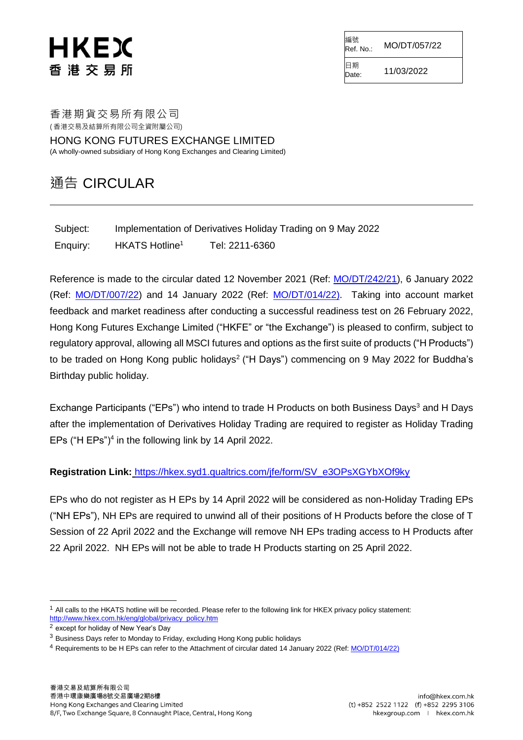# HKEX 香 港 交 易 所

編號<br>Ref. No.: Ref. No.: MO/DT/057/22

 $D_{\text{Date}}$  11/03/2022

日期

香港期貨交易所有限公司 ( 香港交易及結算所有限公司全資附屬公司)

HONG KONG FUTURES EXCHANGE LIMITED (A wholly-owned subsidiary of Hong Kong Exchanges and Clearing Limited)

### 通告 CIRCULAR

| Subject: |                            |                | Implementation of Derivatives Holiday Trading on 9 May 2022 |
|----------|----------------------------|----------------|-------------------------------------------------------------|
| Enquiry: | HKATS Hotline <sup>1</sup> | Tel: 2211-6360 |                                                             |

Reference is made to the circular dated 12 November 2021 (Ref: [MO/DT/242/21\)](https://www.hkex.com.hk/-/media/HKEX-Market/Services/Circulars-and-Notices/Participant-and-Members-Circulars/HKFE/2021/MO_DT_242_21_e.pdf), 6 January 2022 (Ref: [MO/DT/007/22\)](https://www.hkex.com.hk/-/media/HKEX-Market/Services/Circulars-and-Notices/Participant-and-Members-Circulars/HKFE/2022/MO_DT_007_22.pdf) and 14 January 2022 (Ref: [MO/DT/014/22\)](https://www.hkex.com.hk/-/media/HKEX-Market/Services/Circulars-and-Notices/Participant-and-Members-Circulars/HKFE/2022/MO_DT_014_22.pdf). Taking into account market feedback and market readiness after conducting a successful readiness test on 26 February 2022, Hong Kong Futures Exchange Limited ("HKFE" or "the Exchange") is pleased to confirm, subject to regulatory approval, allowing all MSCI futures and options as the first suite of products ("H Products") to be traded on Hong Kong public holidays<sup>2</sup> ("H Days") commencing on 9 May 2022 for Buddha's Birthday public holiday.

Exchange Participants ("EPs") who intend to trade H Products on both Business Days<sup>3</sup> and H Days after the implementation of Derivatives Holiday Trading are required to register as Holiday Trading EPs ("H EPs")<sup>4</sup> in the following link by 14 April 2022.

### **Registration Link:** [https://hkex.syd1.qualtrics.com/jfe/form/SV\\_e3OPsXGYbXOf9ky](https://hkex.syd1.qualtrics.com/jfe/form/SV_e3OPsXGYbXOf9ky)

EPs who do not register as H EPs by 14 April 2022 will be considered as non-Holiday Trading EPs ("NH EPs"), NH EPs are required to unwind all of their positions of H Products before the close of T Session of 22 April 2022 and the Exchange will remove NH EPs trading access to H Products after 22 April 2022. NH EPs will not be able to trade H Products starting on 25 April 2022.

-

<sup>1</sup> All calls to the HKATS hotline will be recorded. Please refer to the following link for HKEX privacy policy statement: [http://www.hkex.com.hk/eng/global/privacy\\_policy.htm](http://www.hkex.com.hk/eng/global/privacy_policy.htm)

<sup>2</sup> except for holiday of New Year's Day

<sup>3</sup> Business Days refer to Monday to Friday, excluding Hong Kong public holidays

<sup>4</sup> Requirements to be H EPs can refer to the Attachment of circular dated 14 January 2022 (Ref[: MO/DT/014/22\)](https://www.hkex.com.hk/-/media/HKEX-Market/Services/Circulars-and-Notices/Participant-and-Members-Circulars/HKFE/2022/MO_DT_014_22.pdf)